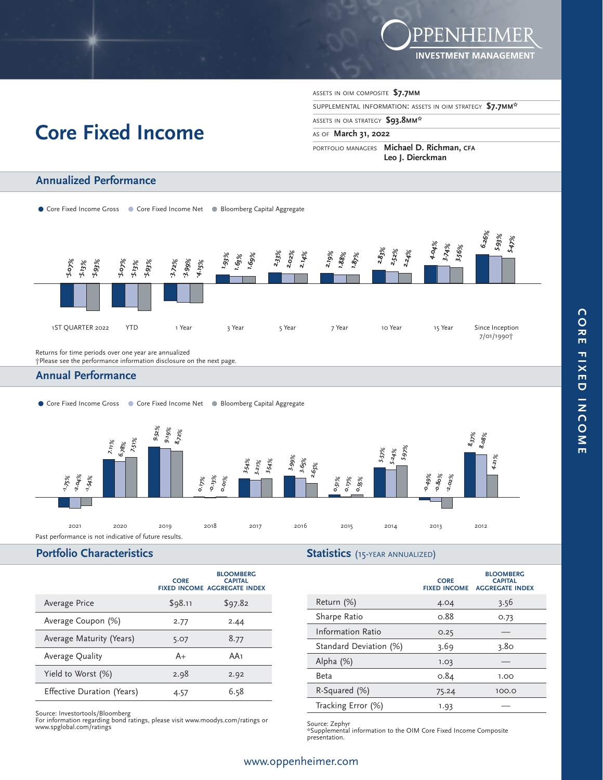

# **Core Fixed Income**

**Annualized Performance**

ASSETS IN OIM COMPOSITE **\$7.7MM**

SUPPLEMENTAL INFORMATION: ASSETS IN OIM STRATEGY **\$7.7MM\*** 

ASSETS IN OIA STRATEGY **\$93.8MM\*** 

AS OF **March 31, 2022** 

PORTFOLIO MANAGERS **Michael D. Richman, CFA Leo J. Dierckman**



Returns for time periods over one year are annualized

†Please see the performance information disclosure on the next page.

# **Annual Performance**

• Core Fixed Income Gross • Core Fixed Income Net . Bloomberg Capital Aggregate



# **Portfolio Characteristics**

|  | <b>Statistics</b> (15-YEAR ANNUALIZED) |
|--|----------------------------------------|
|--|----------------------------------------|

|                            | <b>CORE</b> | <b>BLOOMBERG</b><br><b>CAPITAL</b><br><b>FIXED INCOME AGGREGATE INDEX</b> |
|----------------------------|-------------|---------------------------------------------------------------------------|
| Average Price              | \$98.11     | \$97.82                                                                   |
| Average Coupon (%)         | 2.77        | 2.44                                                                      |
| Average Maturity (Years)   | 5.07        | 8.77                                                                      |
| Average Quality            | A+          | AA1                                                                       |
| Yield to Worst (%)         | 2.98        | 2.92                                                                      |
| Effective Duration (Years) | 4.57        | 6.58                                                                      |

Source: Investortools/Bloomberg<br>For information regarding bond ratings, please visit www.moodys.com/ratings or<br>www.spglobal.com/ratings or source: Zephyre Source: Zephyre Source: Zephyre Source: Zephyre Source: Zephyre Sou

|                        | <b>CORE</b><br><b>FIXED INCOME</b> | <b>BLOOMBERG</b><br><b>CAPITAL</b><br><b>AGGREGATE INDEX</b> |
|------------------------|------------------------------------|--------------------------------------------------------------|
| Return (%)             | 4.04                               | 3.56                                                         |
| Sharpe Ratio           | 0.88                               | 0.73                                                         |
| Information Ratio      | 0.25                               |                                                              |
| Standard Deviation (%) | 3.69                               | 3.80                                                         |
| Alpha $(\%)$           | 1.03                               |                                                              |
| Beta                   | 0.84                               | 1.00                                                         |
| R-Squared (%)          | 75.24                              | 100.0                                                        |
| Tracking Error (%)     | 1.93                               |                                                              |

\*Supplemental information to the OIM Core Fixed Income Composite presentation.